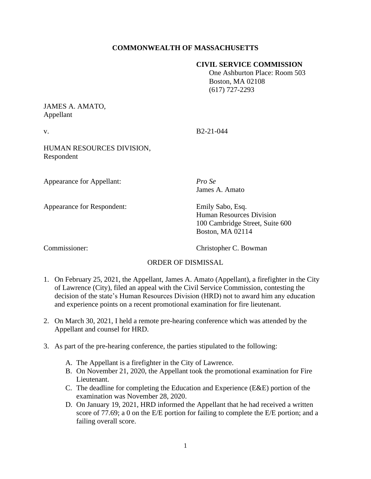# **COMMONWEALTH OF MASSACHUSETTS**

#### **CIVIL SERVICE COMMISSION**

 One Ashburton Place: Room 503 Boston, MA 02108 (617) 727-2293

### JAMES A. AMATO, Appellant

v. B2-21-044

HUMAN RESOURCES DIVISION, Respondent

Appearance for Appellant: *Pro Se*

Appearance for Respondent: Emily Sabo, Esq.

James A. Amato

Human Resources Division 100 Cambridge Street, Suite 600 Boston, MA 02114

Commissioner: Christopher C. Bowman

### ORDER OF DISMISSAL

- 1. On February 25, 2021, the Appellant, James A. Amato (Appellant), a firefighter in the City of Lawrence (City), filed an appeal with the Civil Service Commission, contesting the decision of the state's Human Resources Division (HRD) not to award him any education and experience points on a recent promotional examination for fire lieutenant.
- 2. On March 30, 2021, I held a remote pre-hearing conference which was attended by the Appellant and counsel for HRD.
- 3. As part of the pre-hearing conference, the parties stipulated to the following:
	- A. The Appellant is a firefighter in the City of Lawrence.
	- B. On November 21, 2020, the Appellant took the promotional examination for Fire Lieutenant.
	- C. The deadline for completing the Education and Experience (E&E) portion of the examination was November 28, 2020.
	- D. On January 19, 2021, HRD informed the Appellant that he had received a written score of 77.69; a 0 on the E/E portion for failing to complete the E/E portion; and a failing overall score.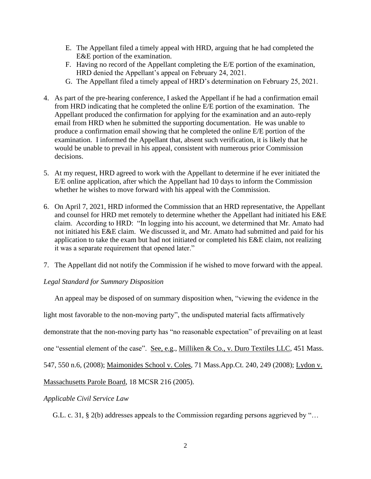- E. The Appellant filed a timely appeal with HRD, arguing that he had completed the E&E portion of the examination.
- F. Having no record of the Appellant completing the E/E portion of the examination, HRD denied the Appellant's appeal on February 24, 2021.
- G. The Appellant filed a timely appeal of HRD's determination on February 25, 2021.
- 4. As part of the pre-hearing conference, I asked the Appellant if he had a confirmation email from HRD indicating that he completed the online E/E portion of the examination. The Appellant produced the confirmation for applying for the examination and an auto-reply email from HRD when he submitted the supporting documentation. He was unable to produce a confirmation email showing that he completed the online E/E portion of the examination. I informed the Appellant that, absent such verification, it is likely that he would be unable to prevail in his appeal, consistent with numerous prior Commission decisions.
- 5. At my request, HRD agreed to work with the Appellant to determine if he ever initiated the E/E online application, after which the Appellant had 10 days to inform the Commission whether he wishes to move forward with his appeal with the Commission.
- 6. On April 7, 2021, HRD informed the Commission that an HRD representative, the Appellant and counsel for HRD met remotely to determine whether the Appellant had initiated his E&E claim. According to HRD: "In logging into his account, we determined that Mr. Amato had not initiated his E&E claim. We discussed it, and Mr. Amato had submitted and paid for his application to take the exam but had not initiated or completed his E&E claim, not realizing it was a separate requirement that opened later."
- 7. The Appellant did not notify the Commission if he wished to move forward with the appeal.

### *Legal Standard for Summary Disposition*

An appeal may be disposed of on summary disposition when, "viewing the evidence in the light most favorable to the non-moving party", the undisputed material facts affirmatively demonstrate that the non-moving party has "no reasonable expectation" of prevailing on at least one "essential element of the case". See, e.g., Milliken & Co., v. Duro Textiles LLC, 451 Mass. 547, 550 n.6, (2008); Maimonides School v. Coles, 71 Mass.App.Ct. 240, 249 (2008); Lydon v. Massachusetts Parole Board, 18 MCSR 216 (2005).

### *Applicable Civil Service Law*

G.L. c. 31, § 2(b) addresses appeals to the Commission regarding persons aggrieved by "…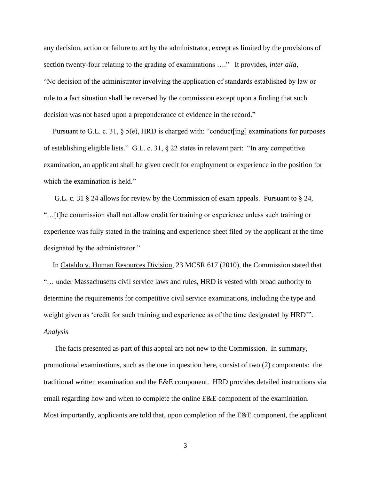any decision, action or failure to act by the administrator, except as limited by the provisions of section twenty-four relating to the grading of examinations …." It provides, *inter alia*, "No decision of the administrator involving the application of standards established by law or rule to a fact situation shall be reversed by the commission except upon a finding that such decision was not based upon a preponderance of evidence in the record."

Pursuant to G.L. c. 31, § 5(e), HRD is charged with: "conduct[ing] examinations for purposes of establishing eligible lists." G.L. c. 31, § 22 states in relevant part: "In any competitive examination, an applicant shall be given credit for employment or experience in the position for which the examination is held."

 G.L. c. 31 § 24 allows for review by the Commission of exam appeals. Pursuant to § 24, "…[t]he commission shall not allow credit for training or experience unless such training or experience was fully stated in the training and experience sheet filed by the applicant at the time designated by the administrator."

 In Cataldo v. Human Resources Division, 23 MCSR 617 (2010), the Commission stated that "… under Massachusetts civil service laws and rules, HRD is vested with broad authority to determine the requirements for competitive civil service examinations, including the type and weight given as 'credit for such training and experience as of the time designated by HRD'". *Analysis*

 The facts presented as part of this appeal are not new to the Commission. In summary, promotional examinations, such as the one in question here, consist of two (2) components: the traditional written examination and the E&E component. HRD provides detailed instructions via email regarding how and when to complete the online E&E component of the examination. Most importantly, applicants are told that, upon completion of the E&E component, the applicant

3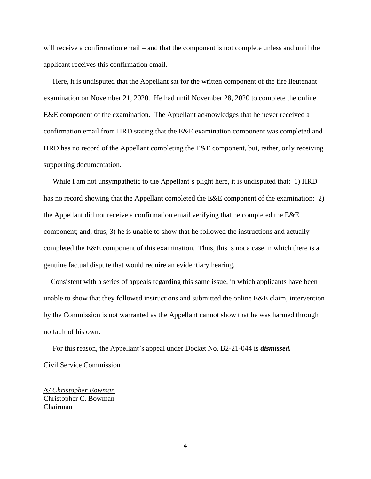will receive a confirmation email – and that the component is not complete unless and until the applicant receives this confirmation email.

 Here, it is undisputed that the Appellant sat for the written component of the fire lieutenant examination on November 21, 2020. He had until November 28, 2020 to complete the online E&E component of the examination. The Appellant acknowledges that he never received a confirmation email from HRD stating that the E&E examination component was completed and HRD has no record of the Appellant completing the E&E component, but, rather, only receiving supporting documentation.

 While I am not unsympathetic to the Appellant's plight here, it is undisputed that: 1) HRD has no record showing that the Appellant completed the E&E component of the examination; 2) the Appellant did not receive a confirmation email verifying that he completed the E&E component; and, thus, 3) he is unable to show that he followed the instructions and actually completed the E&E component of this examination. Thus, this is not a case in which there is a genuine factual dispute that would require an evidentiary hearing.

 Consistent with a series of appeals regarding this same issue, in which applicants have been unable to show that they followed instructions and submitted the online E&E claim, intervention by the Commission is not warranted as the Appellant cannot show that he was harmed through no fault of his own.

 For this reason, the Appellant's appeal under Docket No. B2-21-044 is *dismissed.* Civil Service Commission

*/s/ Christopher Bowman* Christopher C. Bowman Chairman